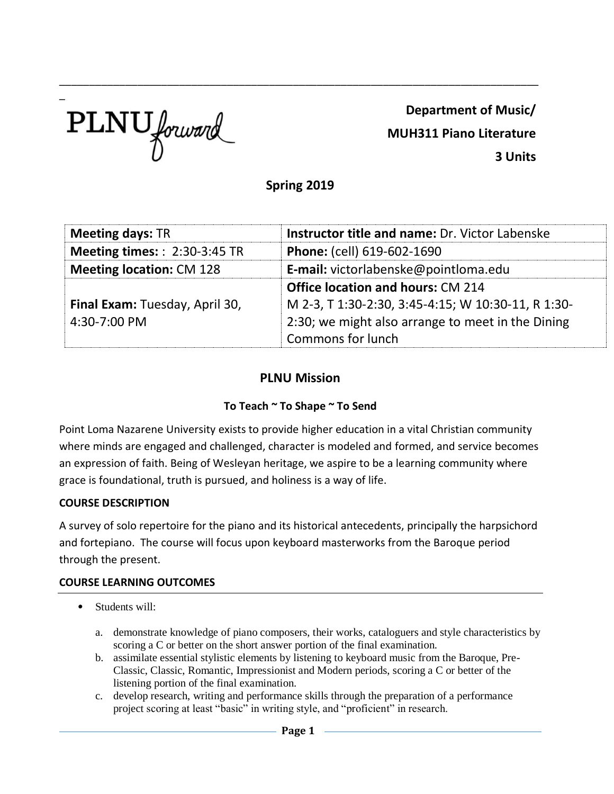PLNU forward

**Department of Music/ MUH311 Piano Literature 3 Units**

**Spring 2019**

\_\_\_\_\_\_\_\_\_\_\_\_\_\_\_\_\_\_\_\_\_\_\_\_\_\_\_\_\_\_\_\_\_\_\_\_\_\_\_\_\_\_\_\_\_\_\_\_\_\_\_\_\_\_\_\_\_\_\_\_\_\_\_\_\_\_\_\_\_\_\_\_\_\_\_\_\_\_\_\_

| <b>Meeting days: TR</b>             | <b>Instructor title and name: Dr. Victor Labenske</b> |  |
|-------------------------------------|-------------------------------------------------------|--|
| <b>Meeting times:: 2:30-3:45 TR</b> | Phone: (cell) 619-602-1690                            |  |
| <b>Meeting location: CM 128</b>     | E-mail: victorlabenske@pointloma.edu                  |  |
|                                     | <b>Office location and hours: CM 214</b>              |  |
| Final Exam: Tuesday, April 30,      | M 2-3, T 1:30-2:30, 3:45-4:15; W 10:30-11, R 1:30-    |  |
| 4:30-7:00 PM                        | 2:30; we might also arrange to meet in the Dining     |  |
|                                     | Commons for lunch                                     |  |

# **PLNU Mission**

## **To Teach ~ To Shape ~ To Send**

Point Loma Nazarene University exists to provide higher education in a vital Christian community where minds are engaged and challenged, character is modeled and formed, and service becomes an expression of faith. Being of Wesleyan heritage, we aspire to be a learning community where grace is foundational, truth is pursued, and holiness is a way of life.

### **COURSE DESCRIPTION**

A survey of solo repertoire for the piano and its historical antecedents, principally the harpsichord and fortepiano. The course will focus upon keyboard masterworks from the Baroque period through the present.

### **COURSE LEARNING OUTCOMES**

- *•* Students will:
	- a. demonstrate knowledge of piano composers, their works, cataloguers and style characteristics by scoring a C or better on the short answer portion of the final examination.
	- b. assimilate essential stylistic elements by listening to keyboard music from the Baroque, Pre-Classic, Classic, Romantic, Impressionist and Modern periods, scoring a C or better of the listening portion of the final examination.
	- c. develop research, writing and performance skills through the preparation of a performance project scoring at least "basic" in writing style, and "proficient" in research.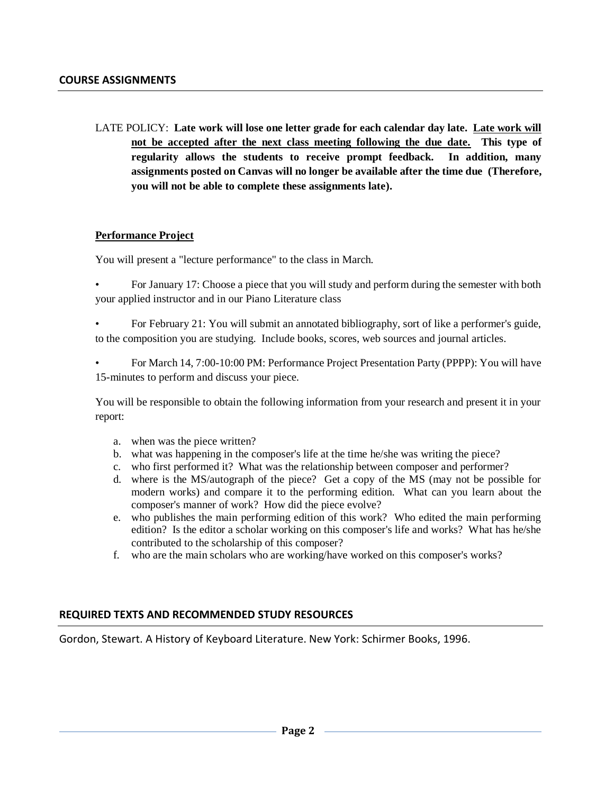LATE POLICY: **Late work will lose one letter grade for each calendar day late. Late work will not be accepted after the next class meeting following the due date. This type of regularity allows the students to receive prompt feedback. In addition, many assignments posted on Canvas will no longer be available after the time due (Therefore, you will not be able to complete these assignments late).**

#### **Performance Project**

You will present a "lecture performance" to the class in March.

• For January 17: Choose a piece that you will study and perform during the semester with both your applied instructor and in our Piano Literature class

• For February 21: You will submit an annotated bibliography, sort of like a performer's guide, to the composition you are studying. Include books, scores, web sources and journal articles.

• For March 14, 7:00-10:00 PM: Performance Project Presentation Party (PPPP): You will have 15-minutes to perform and discuss your piece.

You will be responsible to obtain the following information from your research and present it in your report:

- a. when was the piece written?
- b. what was happening in the composer's life at the time he/she was writing the piece?
- c. who first performed it? What was the relationship between composer and performer?
- d. where is the MS/autograph of the piece? Get a copy of the MS (may not be possible for modern works) and compare it to the performing edition. What can you learn about the composer's manner of work? How did the piece evolve?
- e. who publishes the main performing edition of this work? Who edited the main performing edition? Is the editor a scholar working on this composer's life and works? What has he/she contributed to the scholarship of this composer?
- f. who are the main scholars who are working/have worked on this composer's works?

### **REQUIRED TEXTS AND RECOMMENDED STUDY RESOURCES**

Gordon, Stewart. A History of Keyboard Literature. New York: Schirmer Books, 1996.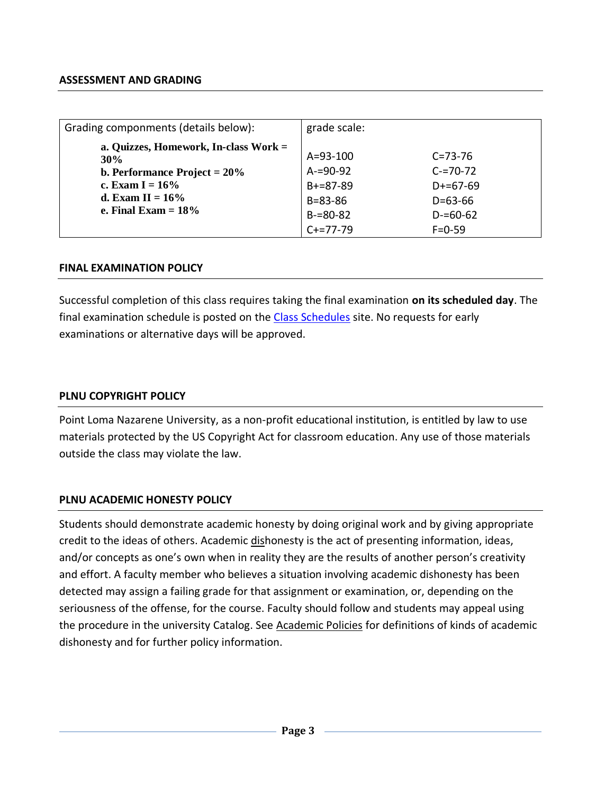### **ASSESSMENT AND GRADING**

| Grading componments (details below):                                                                                                                       | grade scale:                                                                         |                                                                                |
|------------------------------------------------------------------------------------------------------------------------------------------------------------|--------------------------------------------------------------------------------------|--------------------------------------------------------------------------------|
| a. Quizzes, Homework, In-class Work =<br>30%<br><b>b. Performance Project = 20%</b><br>c. Exam $I = 16\%$<br>d. Exam II = $16\%$<br>e. Final Exam $= 18\%$ | $A = 93 - 100$<br>$A = 90 - 92$<br>$B + = 87 - 89$<br>$B = 83 - 86$<br>$B = 80 - 82$ | $C = 73 - 76$<br>$C = 70 - 72$<br>$D+=67-69$<br>$D = 63 - 66$<br>$D = 60 - 62$ |
|                                                                                                                                                            | $C+=77-79$                                                                           | $F = 0 - 59$                                                                   |

## **FINAL EXAMINATION POLICY**

Successful completion of this class requires taking the final examination **on its scheduled day**. The final examination schedule is posted on the [Class Schedules](http://www.pointloma.edu/experience/academics/class-schedules) site. No requests for early examinations or alternative days will be approved.

### **PLNU COPYRIGHT POLICY**

Point Loma Nazarene University, as a non-profit educational institution, is entitled by law to use materials protected by the US Copyright Act for classroom education. Any use of those materials outside the class may violate the law.

## **PLNU ACADEMIC HONESTY POLICY**

Students should demonstrate academic honesty by doing original work and by giving appropriate credit to the ideas of others. Academic dishonesty is the act of presenting information, ideas, and/or concepts as one's own when in reality they are the results of another person's creativity and effort. A faculty member who believes a situation involving academic dishonesty has been detected may assign a failing grade for that assignment or examination, or, depending on the seriousness of the offense, for the course. Faculty should follow and students may appeal using the procedure in the university Catalog. See [Academic Policies](http://catalog.pointloma.edu/content.php?catoid=18&navoid=1278) for definitions of kinds of academic dishonesty and for further policy information.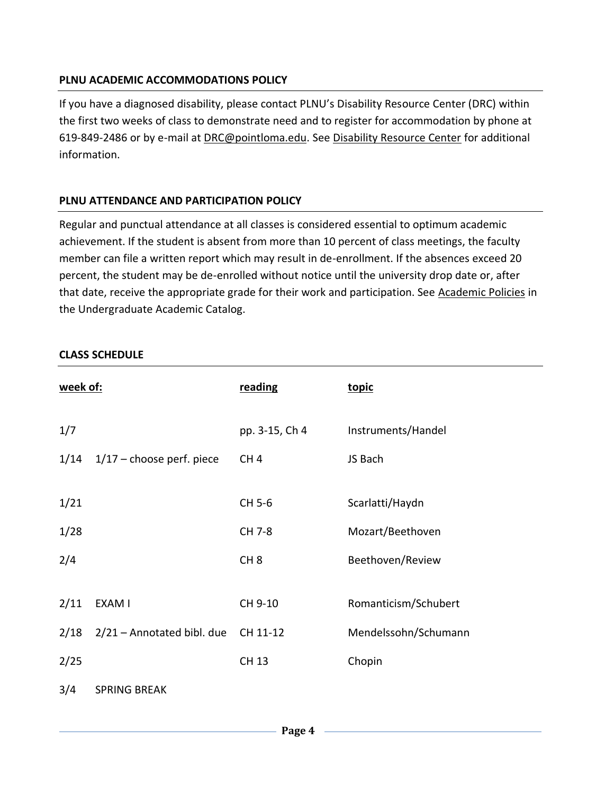# **PLNU ACADEMIC ACCOMMODATIONS POLICY**

If you have a diagnosed disability, please contact PLNU's Disability Resource Center (DRC) within the first two weeks of class to demonstrate need and to register for accommodation by phone at 619-849-2486 or by e-mail at [DRC@pointloma.edu.](mailto:DRC@pointloma.edu) See [Disability Resource Center](http://www.pointloma.edu/experience/offices/administrative-offices/academic-advising-office/disability-resource-center) for additional information.

# **PLNU ATTENDANCE AND PARTICIPATION POLICY**

Regular and punctual attendance at all classes is considered essential to optimum academic achievement. If the student is absent from more than 10 percent of class meetings, the faculty member can file a written report which may result in de-enrollment. If the absences exceed 20 percent, the student may be de-enrolled without notice until the university drop date or, after that date, receive the appropriate grade for their work and participation. See [Academic Policies](http://catalog.pointloma.edu/content.php?catoid=18&navoid=1278) in the Undergraduate Academic Catalog.

### **CLASS SCHEDULE**

| week of: |                             | reading         | topic                |
|----------|-----------------------------|-----------------|----------------------|
| 1/7      |                             | pp. 3-15, Ch 4  | Instruments/Handel   |
| 1/14     | $1/17$ – choose perf. piece | CH <sub>4</sub> | JS Bach              |
| 1/21     |                             | CH 5-6          | Scarlatti/Haydn      |
| 1/28     |                             | CH 7-8          | Mozart/Beethoven     |
| 2/4      |                             | CH <sub>8</sub> | Beethoven/Review     |
|          |                             |                 |                      |
| 2/11     | EXAM I                      | CH 9-10         | Romanticism/Schubert |
| 2/18     | 2/21 - Annotated bibl. due  | CH 11-12        | Mendelssohn/Schumann |
| 2/25     |                             | <b>CH 13</b>    | Chopin               |
| 3/4      | <b>SPRING BREAK</b>         |                 |                      |